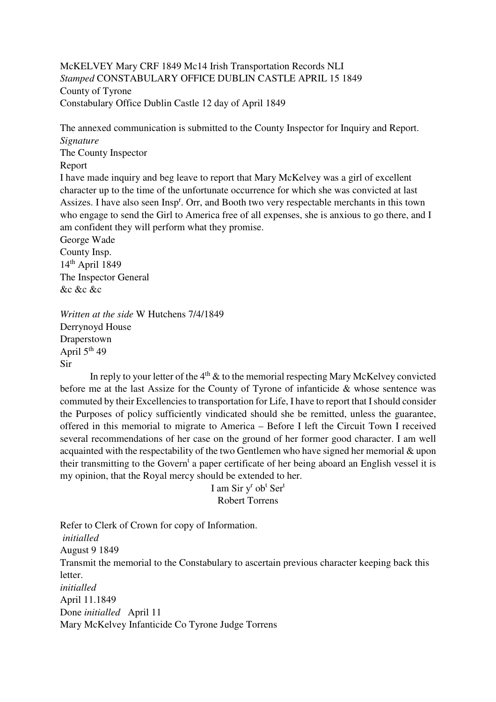McKELVEY Mary CRF 1849 Mc14 Irish Transportation Records NLI *Stamped* CONSTABULARY OFFICE DUBLIN CASTLE APRIL 15 1849 County of Tyrone Constabulary Office Dublin Castle 12 day of April 1849

The annexed communication is submitted to the County Inspector for Inquiry and Report. *Signature*  The County Inspector Report I have made inquiry and beg leave to report that Mary McKelvey was a girl of excellent character up to the time of the unfortunate occurrence for which she was convicted at last Assizes. I have also seen Insp<sup>r</sup>. Orr, and Booth two very respectable merchants in this town who engage to send the Girl to America free of all expenses, she is anxious to go there, and I am confident they will perform what they promise. George Wade County Insp. 14th April 1849 The Inspector General

 $\&c\&c\&c$ 

*Written at the side* W Hutchens 7/4/1849 Derrynoyd House Draperstown April 5<sup>th</sup> 49 Sir

In reply to your letter of the  $4<sup>th</sup>$  & to the memorial respecting Mary McKelvey convicted before me at the last Assize for the County of Tyrone of infanticide & whose sentence was commuted by their Excellencies to transportation for Life, I have to report that I should consider the Purposes of policy sufficiently vindicated should she be remitted, unless the guarantee, offered in this memorial to migrate to America – Before I left the Circuit Town I received several recommendations of her case on the ground of her former good character. I am well acquainted with the respectability of the two Gentlemen who have signed her memorial & upon their transmitting to the Govern<sup>t</sup> a paper certificate of her being aboard an English vessel it is my opinion, that the Royal mercy should be extended to her.

> I am Sir y<sup>r</sup> ob<sup>t</sup> Ser<sup>t</sup> Robert Torrens

Refer to Clerk of Crown for copy of Information. *initialled*  August 9 1849 Transmit the memorial to the Constabulary to ascertain previous character keeping back this letter. *initialled*  April 11.1849 Done *initialled* April 11 Mary McKelvey Infanticide Co Tyrone Judge Torrens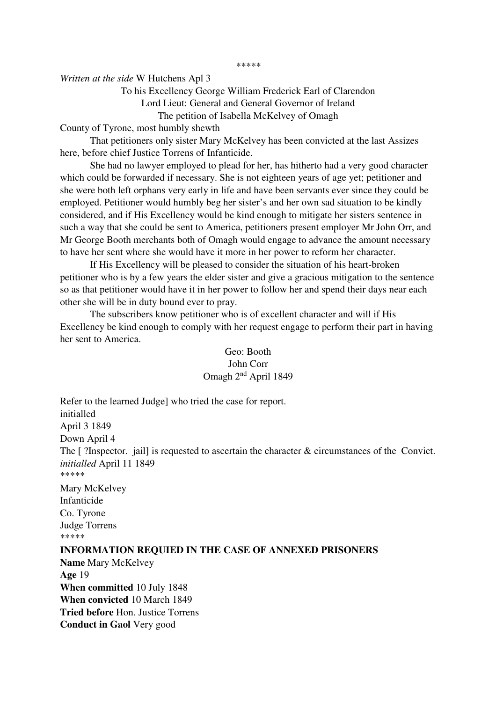*\*\*\*\*\** 

*Written at the side* W Hutchens Apl 3

# To his Excellency George William Frederick Earl of Clarendon Lord Lieut: General and General Governor of Ireland The petition of Isabella McKelvey of Omagh

County of Tyrone, most humbly shewth

 That petitioners only sister Mary McKelvey has been convicted at the last Assizes here, before chief Justice Torrens of Infanticide.

 She had no lawyer employed to plead for her, has hitherto had a very good character which could be forwarded if necessary. She is not eighteen years of age yet; petitioner and she were both left orphans very early in life and have been servants ever since they could be employed. Petitioner would humbly beg her sister's and her own sad situation to be kindly considered, and if His Excellency would be kind enough to mitigate her sisters sentence in such a way that she could be sent to America, petitioners present employer Mr John Orr, and Mr George Booth merchants both of Omagh would engage to advance the amount necessary to have her sent where she would have it more in her power to reform her character.

 If His Excellency will be pleased to consider the situation of his heart-broken petitioner who is by a few years the elder sister and give a gracious mitigation to the sentence so as that petitioner would have it in her power to follow her and spend their days near each other she will be in duty bound ever to pray.

 The subscribers know petitioner who is of excellent character and will if His Excellency be kind enough to comply with her request engage to perform their part in having her sent to America.

## Geo: Booth John Corr Omagh 2nd April 1849

Refer to the learned Judge] who tried the case for report. initialled April 3 1849 Down April 4 The [ ?Inspector. jail] is requested to ascertain the character & circumstances of the Convict. *initialled* April 11 1849 \*\*\*\*\* Mary McKelvey Infanticide Co. Tyrone Judge Torrens \*\*\*\*\* **INFORMATION REQUIED IN THE CASE OF ANNEXED PRISONERS Name** Mary McKelvey **Age** 19

**When committed** 10 July 1848 **When convicted** 10 March 1849 **Tried before** Hon. Justice Torrens **Conduct in Gaol** Very good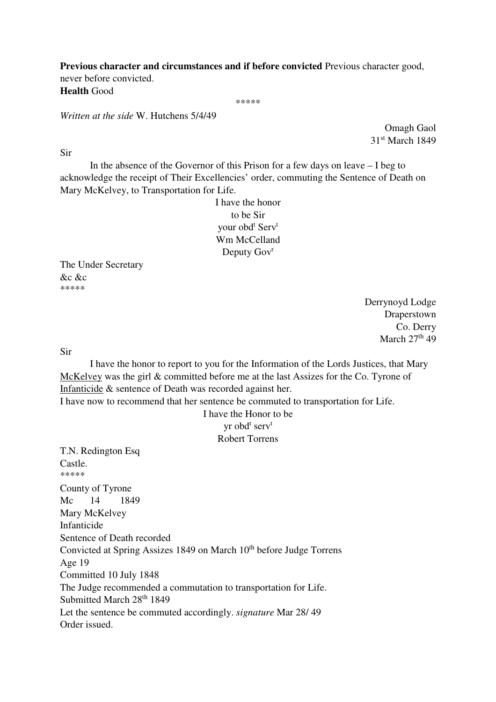**Previous character and circumstances and if before convicted** Previous character good, never before convicted. **Health** Good

\*\*\*\*\*

*Written at the side* W. Hutchens 5/4/49

Omagh Gaol 31st March 1849

Sir

In the absence of the Governor of this Prison for a few days on leave  $-1$  beg to acknowledge the receipt of Their Excellencies' order, commuting the Sentence of Death on Mary McKelvey, to Transportation for Life.

> I have the honor to be Sir your obd<sup>t</sup> Serv<sup>t</sup> Wm McCelland Deputy Gov<sup>r</sup>

The Under Secretary &c &c \*\*\*\*\*

> Derrynoyd Lodge Draperstown Co. Derry March  $27<sup>th</sup>$  49

Sir

 I have the honor to report to you for the Information of the Lords Justices, that Mary McKelvey was the girl & committed before me at the last Assizes for the Co. Tyrone of Infanticide & sentence of Death was recorded against her.

I have now to recommend that her sentence be commuted to transportation for Life.

I have the Honor to be yr obd<sup>t</sup> serv<sup>t</sup> Robert Torrens

T.N. Redington Esq Castle. \*\*\*\*\* County of Tyrone Mc 14 1849 Mary McKelvey Infanticide Sentence of Death recorded Convicted at Spring Assizes 1849 on March 10<sup>th</sup> before Judge Torrens Age 19 Committed 10 July 1848 The Judge recommended a commutation to transportation for Life. Submitted March 28<sup>th</sup> 1849 Let the sentence be commuted accordingly. *signature* Mar 28/ 49 Order issued.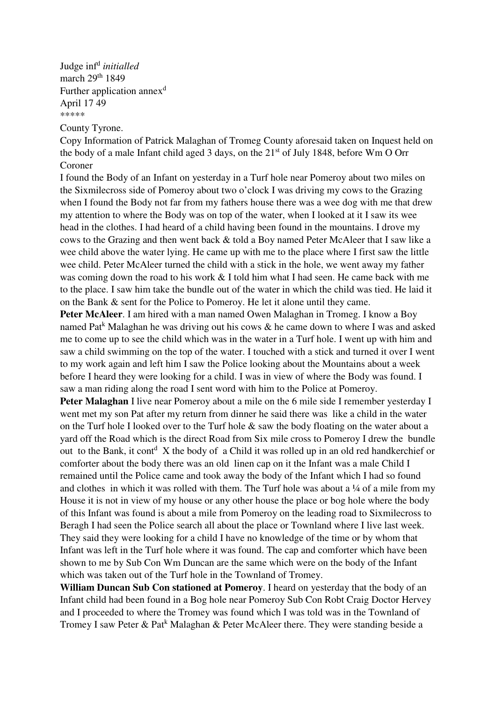Judge inf<sup>d</sup> initialled march 29<sup>th</sup> 1849 Further application annex<sup>d</sup> April 17 49 \*\*\*\*\*

County Tyrone.

Copy Information of Patrick Malaghan of Tromeg County aforesaid taken on Inquest held on the body of a male Infant child aged 3 days, on the  $21<sup>st</sup>$  of July 1848, before Wm O Orr Coroner

I found the Body of an Infant on yesterday in a Turf hole near Pomeroy about two miles on the Sixmilecross side of Pomeroy about two o'clock I was driving my cows to the Grazing when I found the Body not far from my fathers house there was a wee dog with me that drew my attention to where the Body was on top of the water, when I looked at it I saw its wee head in the clothes. I had heard of a child having been found in the mountains. I drove my cows to the Grazing and then went back & told a Boy named Peter McAleer that I saw like a wee child above the water lying. He came up with me to the place where I first saw the little wee child. Peter McAleer turned the child with a stick in the hole, we went away my father was coming down the road to his work  $& 1$  told him what I had seen. He came back with me to the place. I saw him take the bundle out of the water in which the child was tied. He laid it on the Bank & sent for the Police to Pomeroy. He let it alone until they came.

**Peter McAleer**. I am hired with a man named Owen Malaghan in Tromeg. I know a Boy named Pat<sup>k</sup> Malaghan he was driving out his cows & he came down to where I was and asked me to come up to see the child which was in the water in a Turf hole. I went up with him and saw a child swimming on the top of the water. I touched with a stick and turned it over I went to my work again and left him I saw the Police looking about the Mountains about a week before I heard they were looking for a child. I was in view of where the Body was found. I saw a man riding along the road I sent word with him to the Police at Pomeroy.

**Peter Malaghan** I live near Pomeroy about a mile on the 6 mile side I remember yesterday I went met my son Pat after my return from dinner he said there was like a child in the water on the Turf hole I looked over to the Turf hole & saw the body floating on the water about a yard off the Road which is the direct Road from Six mile cross to Pomeroy I drew the bundle out to the Bank, it cont<sup>d</sup> X the body of a Child it was rolled up in an old red handkerchief or comforter about the body there was an old linen cap on it the Infant was a male Child I remained until the Police came and took away the body of the Infant which I had so found and clothes in which it was rolled with them. The Turf hole was about a  $\frac{1}{4}$  of a mile from my House it is not in view of my house or any other house the place or bog hole where the body of this Infant was found is about a mile from Pomeroy on the leading road to Sixmilecross to Beragh I had seen the Police search all about the place or Townland where I live last week. They said they were looking for a child I have no knowledge of the time or by whom that Infant was left in the Turf hole where it was found. The cap and comforter which have been shown to me by Sub Con Wm Duncan are the same which were on the body of the Infant which was taken out of the Turf hole in the Townland of Tromey.

**William Duncan Sub Con stationed at Pomeroy**. I heard on yesterday that the body of an Infant child had been found in a Bog hole near Pomeroy Sub Con Robt Craig Doctor Hervey and I proceeded to where the Tromey was found which I was told was in the Townland of Tromey I saw Peter & Pat<sup>k</sup> Malaghan & Peter McAleer there. They were standing beside a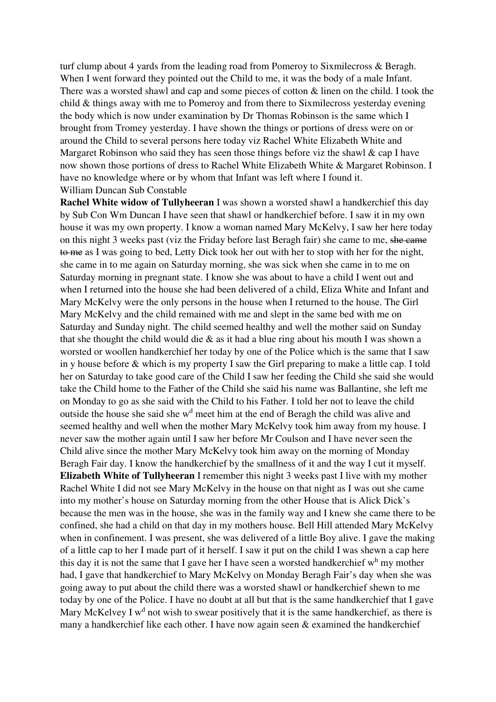turf clump about 4 yards from the leading road from Pomeroy to Sixmilecross & Beragh. When I went forward they pointed out the Child to me, it was the body of a male Infant. There was a worsted shawl and cap and some pieces of cotton  $\&$  linen on the child. I took the child & things away with me to Pomeroy and from there to Sixmilecross yesterday evening the body which is now under examination by Dr Thomas Robinson is the same which I brought from Tromey yesterday. I have shown the things or portions of dress were on or around the Child to several persons here today viz Rachel White Elizabeth White and Margaret Robinson who said they has seen those things before viz the shawl  $\&$  cap I have now shown those portions of dress to Rachel White Elizabeth White & Margaret Robinson. I have no knowledge where or by whom that Infant was left where I found it. William Duncan Sub Constable

**Rachel White widow of Tullyheeran** I was shown a worsted shawl a handkerchief this day by Sub Con Wm Duncan I have seen that shawl or handkerchief before. I saw it in my own house it was my own property. I know a woman named Mary McKelvy, I saw her here today on this night 3 weeks past (viz the Friday before last Beragh fair) she came to me, she came to me as I was going to bed, Letty Dick took her out with her to stop with her for the night, she came in to me again on Saturday morning, she was sick when she came in to me on Saturday morning in pregnant state. I know she was about to have a child I went out and when I returned into the house she had been delivered of a child, Eliza White and Infant and Mary McKelvy were the only persons in the house when I returned to the house. The Girl Mary McKelvy and the child remained with me and slept in the same bed with me on Saturday and Sunday night. The child seemed healthy and well the mother said on Sunday that she thought the child would die & as it had a blue ring about his mouth I was shown a worsted or woollen handkerchief her today by one of the Police which is the same that I saw in y house before & which is my property I saw the Girl preparing to make a little cap. I told her on Saturday to take good care of the Child I saw her feeding the Child she said she would take the Child home to the Father of the Child she said his name was Ballantine, she left me on Monday to go as she said with the Child to his Father. I told her not to leave the child outside the house she said she w<sup>d</sup> meet him at the end of Beragh the child was alive and seemed healthy and well when the mother Mary McKelvy took him away from my house. I never saw the mother again until I saw her before Mr Coulson and I have never seen the Child alive since the mother Mary McKelvy took him away on the morning of Monday Beragh Fair day. I know the handkerchief by the smallness of it and the way I cut it myself. **Elizabeth White of Tullyheeran** I remember this night 3 weeks past I live with my mother Rachel White I did not see Mary McKelvy in the house on that night as I was out she came into my mother's house on Saturday morning from the other House that is Alick Dick's because the men was in the house, she was in the family way and I knew she came there to be confined, she had a child on that day in my mothers house. Bell Hill attended Mary McKelvy when in confinement. I was present, she was delivered of a little Boy alive. I gave the making of a little cap to her I made part of it herself. I saw it put on the child I was shewn a cap here this day it is not the same that I gave her I have seen a worsted handkerchief  $w<sup>h</sup>$  my mother had, I gave that handkerchief to Mary McKelvy on Monday Beragh Fair's day when she was going away to put about the child there was a worsted shawl or handkerchief shewn to me today by one of the Police. I have no doubt at all but that is the same handkerchief that I gave Mary McKelvey I  $w<sup>d</sup>$  not wish to swear positively that it is the same handkerchief, as there is many a handkerchief like each other. I have now again seen & examined the handkerchief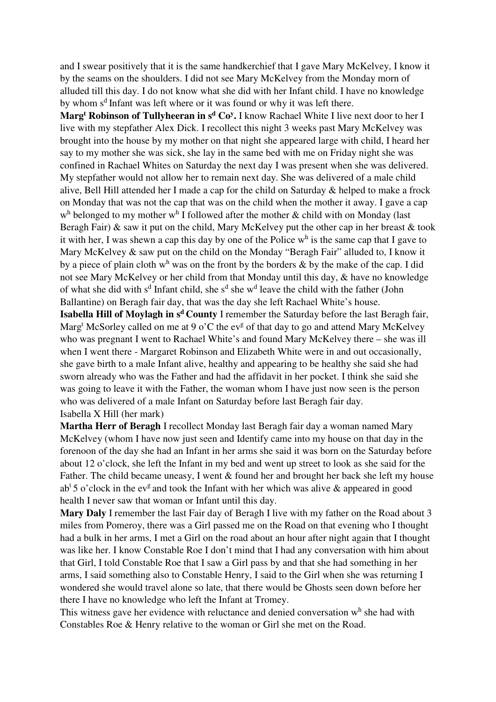and I swear positively that it is the same handkerchief that I gave Mary McKelvey, I know it by the seams on the shoulders. I did not see Mary McKelvey from the Monday morn of alluded till this day. I do not know what she did with her Infant child. I have no knowledge by whom s<sup>d</sup> Infant was left where or it was found or why it was left there.

**Marg<sup>t</sup> Robinson of Tullyheeran in s<sup>d</sup> Co<sup>y</sup> .** I know Rachael White I live next door to her I live with my stepfather Alex Dick. I recollect this night 3 weeks past Mary McKelvey was brought into the house by my mother on that night she appeared large with child, I heard her say to my mother she was sick, she lay in the same bed with me on Friday night she was confined in Rachael Whites on Saturday the next day I was present when she was delivered. My stepfather would not allow her to remain next day. She was delivered of a male child alive, Bell Hill attended her I made a cap for the child on Saturday & helped to make a frock on Monday that was not the cap that was on the child when the mother it away. I gave a cap  $w<sup>h</sup>$  belonged to my mother  $w<sup>h</sup>$  I followed after the mother  $\&$  child with on Monday (last Beragh Fair)  $\&$  saw it put on the child, Mary McKelvey put the other cap in her breast  $\&$  took it with her, I was shewn a cap this day by one of the Police  $w<sup>h</sup>$  is the same cap that I gave to Mary McKelvey & saw put on the child on the Monday "Beragh Fair" alluded to, I know it by a piece of plain cloth w<sup>h</sup> was on the front by the borders  $\&$  by the make of the cap. I did not see Mary McKelvey or her child from that Monday until this day, & have no knowledge of what she did with  $s^d$  Infant child, she  $s^d$  she w<sup>d</sup> leave the child with the father (John Ballantine) on Beragh fair day, that was the day she left Rachael White's house.

**Isabella Hill of Moylagh in s<sup>d</sup>County** I remember the Saturday before the last Beragh fair, Marg<sup>t</sup> McSorley called on me at 9 o'C the ev<sup>g</sup> of that day to go and attend Mary McKelvey who was pregnant I went to Rachael White's and found Mary McKelvey there – she was ill when I went there - Margaret Robinson and Elizabeth White were in and out occasionally, she gave birth to a male Infant alive, healthy and appearing to be healthy she said she had sworn already who was the Father and had the affidavit in her pocket. I think she said she was going to leave it with the Father, the woman whom I have just now seen is the person who was delivered of a male Infant on Saturday before last Beragh fair day. Isabella X Hill (her mark)

**Martha Herr of Beragh** I recollect Monday last Beragh fair day a woman named Mary McKelvey (whom I have now just seen and Identify came into my house on that day in the forenoon of the day she had an Infant in her arms she said it was born on the Saturday before about 12 o'clock, she left the Infant in my bed and went up street to look as she said for the Father. The child became uneasy, I went & found her and brought her back she left my house ab<sup>t</sup> 5 o'clock in the ev<sup>g</sup> and took the Infant with her which was alive  $\&$  appeared in good health I never saw that woman or Infant until this day.

**Mary Daly** I remember the last Fair day of Beragh I live with my father on the Road about 3 miles from Pomeroy, there was a Girl passed me on the Road on that evening who I thought had a bulk in her arms, I met a Girl on the road about an hour after night again that I thought was like her. I know Constable Roe I don't mind that I had any conversation with him about that Girl, I told Constable Roe that I saw a Girl pass by and that she had something in her arms, I said something also to Constable Henry, I said to the Girl when she was returning I wondered she would travel alone so late, that there would be Ghosts seen down before her there I have no knowledge who left the Infant at Tromey.

This witness gave her evidence with reluctance and denied conversation  $w<sup>h</sup>$  she had with Constables Roe & Henry relative to the woman or Girl she met on the Road.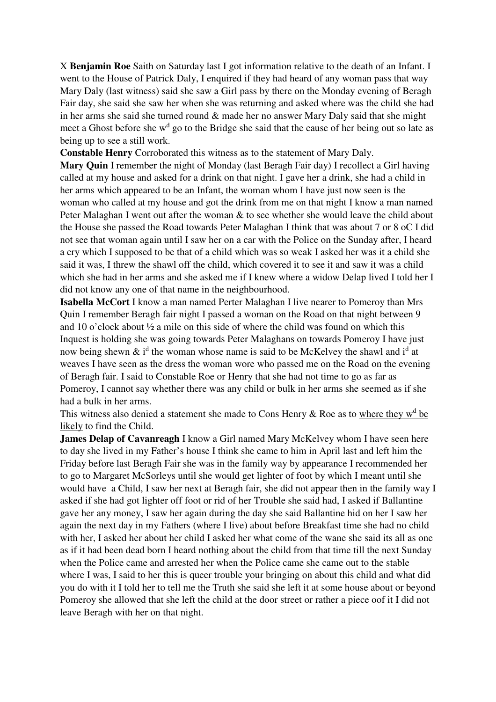X **Benjamin Roe** Saith on Saturday last I got information relative to the death of an Infant. I went to the House of Patrick Daly, I enquired if they had heard of any woman pass that way Mary Daly (last witness) said she saw a Girl pass by there on the Monday evening of Beragh Fair day, she said she saw her when she was returning and asked where was the child she had in her arms she said she turned round & made her no answer Mary Daly said that she might meet a Ghost before she w<sup>d</sup> go to the Bridge she said that the cause of her being out so late as being up to see a still work.

**Constable Henry** Corroborated this witness as to the statement of Mary Daly.

**Mary Quin** I remember the night of Monday (last Beragh Fair day) I recollect a Girl having called at my house and asked for a drink on that night. I gave her a drink, she had a child in her arms which appeared to be an Infant, the woman whom I have just now seen is the woman who called at my house and got the drink from me on that night I know a man named Peter Malaghan I went out after the woman & to see whether she would leave the child about the House she passed the Road towards Peter Malaghan I think that was about 7 or 8 oC I did not see that woman again until I saw her on a car with the Police on the Sunday after, I heard a cry which I supposed to be that of a child which was so weak I asked her was it a child she said it was, I threw the shawl off the child, which covered it to see it and saw it was a child which she had in her arms and she asked me if I knew where a widow Delap lived I told her I did not know any one of that name in the neighbourhood.

**Isabella McCort** I know a man named Perter Malaghan I live nearer to Pomeroy than Mrs Quin I remember Beragh fair night I passed a woman on the Road on that night between 9 and 10 o'clock about ½ a mile on this side of where the child was found on which this Inquest is holding she was going towards Peter Malaghans on towards Pomeroy I have just now being shewn  $\&$  i<sup>d</sup> the woman whose name is said to be McKelvey the shawl and i<sup>d</sup> at weaves I have seen as the dress the woman wore who passed me on the Road on the evening of Beragh fair. I said to Constable Roe or Henry that she had not time to go as far as Pomeroy, I cannot say whether there was any child or bulk in her arms she seemed as if she had a bulk in her arms.

This witness also denied a statement she made to Cons Henry & Roe as to where they  $w<sup>d</sup>$  be likely to find the Child.

**James Delap of Cavanreagh** I know a Girl named Mary McKelvey whom I have seen here to day she lived in my Father's house I think she came to him in April last and left him the Friday before last Beragh Fair she was in the family way by appearance I recommended her to go to Margaret McSorleys until she would get lighter of foot by which I meant until she would have a Child, I saw her next at Beragh fair, she did not appear then in the family way I asked if she had got lighter off foot or rid of her Trouble she said had, I asked if Ballantine gave her any money, I saw her again during the day she said Ballantine hid on her I saw her again the next day in my Fathers (where I live) about before Breakfast time she had no child with her, I asked her about her child I asked her what come of the wane she said its all as one as if it had been dead born I heard nothing about the child from that time till the next Sunday when the Police came and arrested her when the Police came she came out to the stable where I was, I said to her this is queer trouble your bringing on about this child and what did you do with it I told her to tell me the Truth she said she left it at some house about or beyond Pomeroy she allowed that she left the child at the door street or rather a piece oof it I did not leave Beragh with her on that night.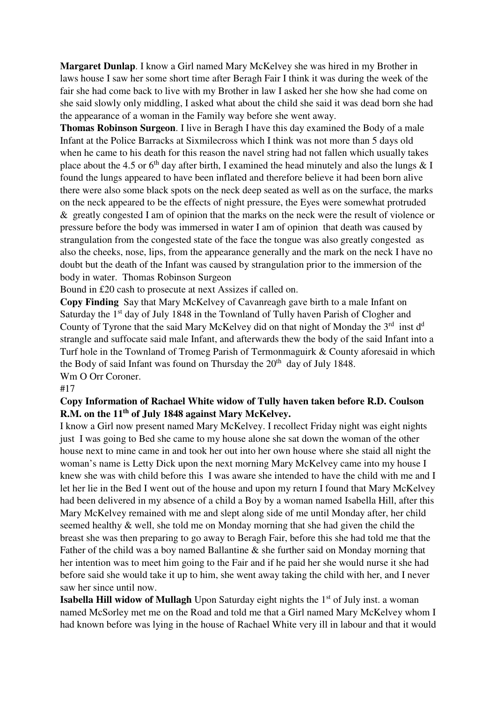**Margaret Dunlap**. I know a Girl named Mary McKelvey she was hired in my Brother in laws house I saw her some short time after Beragh Fair I think it was during the week of the fair she had come back to live with my Brother in law I asked her she how she had come on she said slowly only middling, I asked what about the child she said it was dead born she had the appearance of a woman in the Family way before she went away.

**Thomas Robinson Surgeon**. I live in Beragh I have this day examined the Body of a male Infant at the Police Barracks at Sixmilecross which I think was not more than 5 days old when he came to his death for this reason the navel string had not fallen which usually takes place about the 4.5 or  $6<sup>th</sup>$  day after birth, I examined the head minutely and also the lungs  $\&$  I found the lungs appeared to have been inflated and therefore believe it had been born alive there were also some black spots on the neck deep seated as well as on the surface, the marks on the neck appeared to be the effects of night pressure, the Eyes were somewhat protruded & greatly congested I am of opinion that the marks on the neck were the result of violence or pressure before the body was immersed in water I am of opinion that death was caused by strangulation from the congested state of the face the tongue was also greatly congested as also the cheeks, nose, lips, from the appearance generally and the mark on the neck I have no doubt but the death of the Infant was caused by strangulation prior to the immersion of the body in water. Thomas Robinson Surgeon

Bound in £20 cash to prosecute at next Assizes if called on.

**Copy Finding** Say that Mary McKelvey of Cavanreagh gave birth to a male Infant on Saturday the 1<sup>st</sup> day of July 1848 in the Townland of Tully haven Parish of Clogher and County of Tyrone that the said Mary McKelvey did on that night of Monday the  $3<sup>rd</sup>$  inst  $d<sup>d</sup>$ strangle and suffocate said male Infant, and afterwards thew the body of the said Infant into a Turf hole in the Townland of Tromeg Parish of Termonmaguirk & County aforesaid in which the Body of said Infant was found on Thursday the  $20<sup>th</sup>$  day of July 1848. Wm O Orr Coroner.

#### #17

### **Copy Information of Rachael White widow of Tully haven taken before R.D. Coulson R.M. on the 11th of July 1848 against Mary McKelvey.**

I know a Girl now present named Mary McKelvey. I recollect Friday night was eight nights just I was going to Bed she came to my house alone she sat down the woman of the other house next to mine came in and took her out into her own house where she staid all night the woman's name is Letty Dick upon the next morning Mary McKelvey came into my house I knew she was with child before this I was aware she intended to have the child with me and I let her lie in the Bed I went out of the house and upon my return I found that Mary McKelvey had been delivered in my absence of a child a Boy by a woman named Isabella Hill, after this Mary McKelvey remained with me and slept along side of me until Monday after, her child seemed healthy & well, she told me on Monday morning that she had given the child the breast she was then preparing to go away to Beragh Fair, before this she had told me that the Father of the child was a boy named Ballantine  $\&$  she further said on Monday morning that her intention was to meet him going to the Fair and if he paid her she would nurse it she had before said she would take it up to him, she went away taking the child with her, and I never saw her since until now.

**Isabella Hill widow of Mullagh** Upon Saturday eight nights the 1<sup>st</sup> of July inst. a woman named McSorley met me on the Road and told me that a Girl named Mary McKelvey whom I had known before was lying in the house of Rachael White very ill in labour and that it would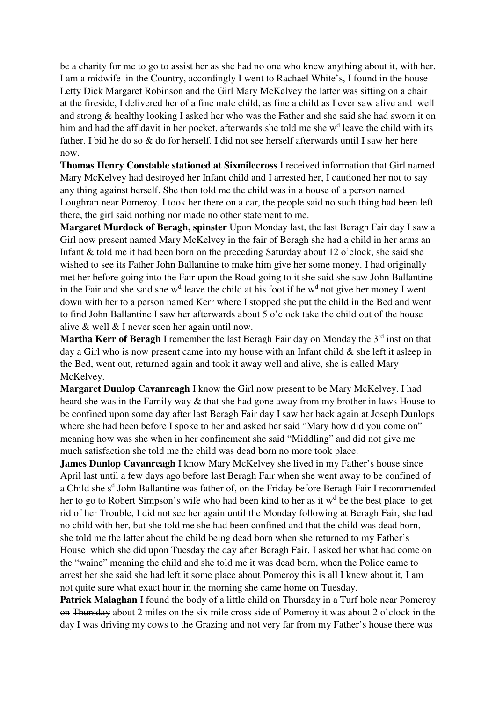be a charity for me to go to assist her as she had no one who knew anything about it, with her. I am a midwife in the Country, accordingly I went to Rachael White's, I found in the house Letty Dick Margaret Robinson and the Girl Mary McKelvey the latter was sitting on a chair at the fireside, I delivered her of a fine male child, as fine a child as I ever saw alive and well and strong & healthy looking I asked her who was the Father and she said she had sworn it on him and had the affidavit in her pocket, afterwards she told me she w<sup>d</sup> leave the child with its father. I bid he do so & do for herself. I did not see herself afterwards until I saw her here now.

**Thomas Henry Constable stationed at Sixmilecross** I received information that Girl named Mary McKelvey had destroyed her Infant child and I arrested her, I cautioned her not to say any thing against herself. She then told me the child was in a house of a person named Loughran near Pomeroy. I took her there on a car, the people said no such thing had been left there, the girl said nothing nor made no other statement to me.

**Margaret Murdock of Beragh, spinster** Upon Monday last, the last Beragh Fair day I saw a Girl now present named Mary McKelvey in the fair of Beragh she had a child in her arms an Infant & told me it had been born on the preceding Saturday about 12 o'clock, she said she wished to see its Father John Ballantine to make him give her some money. I had originally met her before going into the Fair upon the Road going to it she said she saw John Ballantine in the Fair and she said she w<sup>d</sup> leave the child at his foot if he w<sup>d</sup> not give her money I went down with her to a person named Kerr where I stopped she put the child in the Bed and went to find John Ballantine I saw her afterwards about 5 o'clock take the child out of the house alive & well & I never seen her again until now.

Martha Kerr of Beragh I remember the last Beragh Fair day on Monday the 3<sup>rd</sup> inst on that day a Girl who is now present came into my house with an Infant child & she left it asleep in the Bed, went out, returned again and took it away well and alive, she is called Mary McKelvey.

**Margaret Dunlop Cavanreagh** I know the Girl now present to be Mary McKelvey. I had heard she was in the Family way & that she had gone away from my brother in laws House to be confined upon some day after last Beragh Fair day I saw her back again at Joseph Dunlops where she had been before I spoke to her and asked her said "Mary how did you come on" meaning how was she when in her confinement she said "Middling" and did not give me much satisfaction she told me the child was dead born no more took place.

**James Dunlop Cavanreagh** I know Mary McKelvey she lived in my Father's house since April last until a few days ago before last Beragh Fair when she went away to be confined of a Child she s<sup>d</sup> John Ballantine was father of, on the Friday before Beragh Fair I recommended her to go to Robert Simpson's wife who had been kind to her as it w<sup>d</sup> be the best place to get rid of her Trouble, I did not see her again until the Monday following at Beragh Fair, she had no child with her, but she told me she had been confined and that the child was dead born, she told me the latter about the child being dead born when she returned to my Father's House which she did upon Tuesday the day after Beragh Fair. I asked her what had come on the "waine" meaning the child and she told me it was dead born, when the Police came to arrest her she said she had left it some place about Pomeroy this is all I knew about it, I am not quite sure what exact hour in the morning she came home on Tuesday.

**Patrick Malaghan** I found the body of a little child on Thursday in a Turf hole near Pomeroy on Thursday about 2 miles on the six mile cross side of Pomeroy it was about 2 o'clock in the day I was driving my cows to the Grazing and not very far from my Father's house there was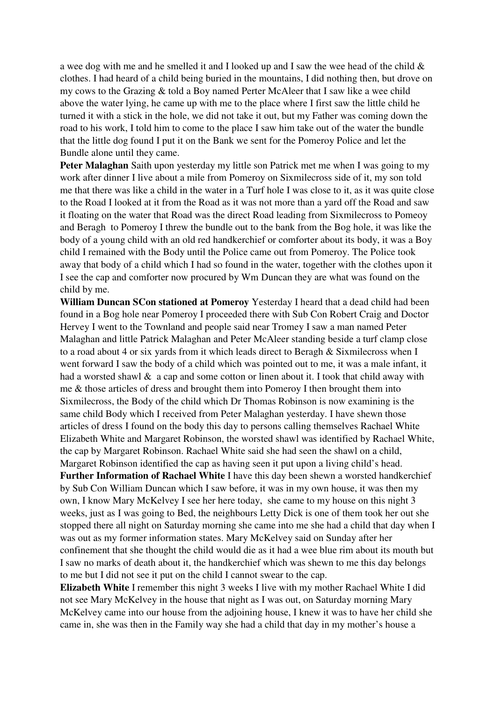a wee dog with me and he smelled it and I looked up and I saw the wee head of the child & clothes. I had heard of a child being buried in the mountains, I did nothing then, but drove on my cows to the Grazing & told a Boy named Perter McAleer that I saw like a wee child above the water lying, he came up with me to the place where I first saw the little child he turned it with a stick in the hole, we did not take it out, but my Father was coming down the road to his work, I told him to come to the place I saw him take out of the water the bundle that the little dog found I put it on the Bank we sent for the Pomeroy Police and let the Bundle alone until they came.

**Peter Malaghan** Saith upon yesterday my little son Patrick met me when I was going to my work after dinner I live about a mile from Pomeroy on Sixmilecross side of it, my son told me that there was like a child in the water in a Turf hole I was close to it, as it was quite close to the Road I looked at it from the Road as it was not more than a yard off the Road and saw it floating on the water that Road was the direct Road leading from Sixmilecross to Pomeoy and Beragh to Pomeroy I threw the bundle out to the bank from the Bog hole, it was like the body of a young child with an old red handkerchief or comforter about its body, it was a Boy child I remained with the Body until the Police came out from Pomeroy. The Police took away that body of a child which I had so found in the water, together with the clothes upon it I see the cap and comforter now procured by Wm Duncan they are what was found on the child by me.

**William Duncan SCon stationed at Pomeroy** Yesterday I heard that a dead child had been found in a Bog hole near Pomeroy I proceeded there with Sub Con Robert Craig and Doctor Hervey I went to the Townland and people said near Tromey I saw a man named Peter Malaghan and little Patrick Malaghan and Peter McAleer standing beside a turf clamp close to a road about 4 or six yards from it which leads direct to Beragh & Sixmilecross when I went forward I saw the body of a child which was pointed out to me, it was a male infant, it had a worsted shawl & a cap and some cotton or linen about it. I took that child away with me & those articles of dress and brought them into Pomeroy I then brought them into Sixmilecross, the Body of the child which Dr Thomas Robinson is now examining is the same child Body which I received from Peter Malaghan yesterday. I have shewn those articles of dress I found on the body this day to persons calling themselves Rachael White Elizabeth White and Margaret Robinson, the worsted shawl was identified by Rachael White, the cap by Margaret Robinson. Rachael White said she had seen the shawl on a child, Margaret Robinson identified the cap as having seen it put upon a living child's head.

**Further Information of Rachael White** I have this day been shewn a worsted handkerchief by Sub Con William Duncan which I saw before, it was in my own house, it was then my own, I know Mary McKelvey I see her here today, she came to my house on this night 3 weeks, just as I was going to Bed, the neighbours Letty Dick is one of them took her out she stopped there all night on Saturday morning she came into me she had a child that day when I was out as my former information states. Mary McKelvey said on Sunday after her confinement that she thought the child would die as it had a wee blue rim about its mouth but I saw no marks of death about it, the handkerchief which was shewn to me this day belongs to me but I did not see it put on the child I cannot swear to the cap.

**Elizabeth White** I remember this night 3 weeks I live with my mother Rachael White I did not see Mary McKelvey in the house that night as I was out, on Saturday morning Mary McKelvey came into our house from the adjoining house, I knew it was to have her child she came in, she was then in the Family way she had a child that day in my mother's house a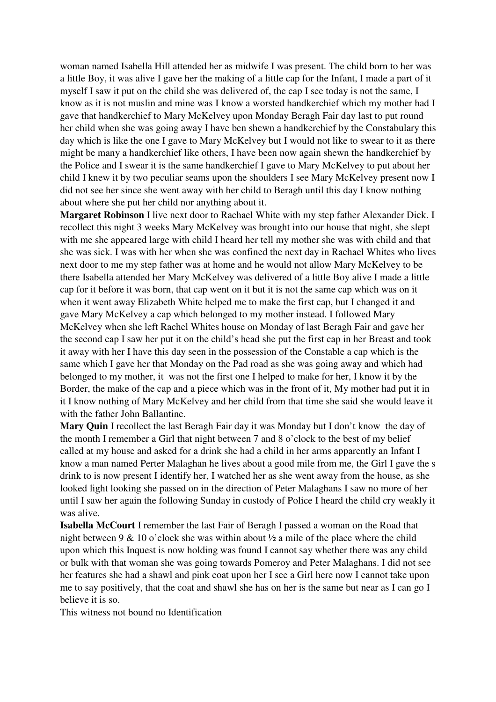woman named Isabella Hill attended her as midwife I was present. The child born to her was a little Boy, it was alive I gave her the making of a little cap for the Infant, I made a part of it myself I saw it put on the child she was delivered of, the cap I see today is not the same, I know as it is not muslin and mine was I know a worsted handkerchief which my mother had I gave that handkerchief to Mary McKelvey upon Monday Beragh Fair day last to put round her child when she was going away I have ben shewn a handkerchief by the Constabulary this day which is like the one I gave to Mary McKelvey but I would not like to swear to it as there might be many a handkerchief like others, I have been now again shewn the handkerchief by the Police and I swear it is the same handkerchief I gave to Mary McKelvey to put about her child I knew it by two peculiar seams upon the shoulders I see Mary McKelvey present now I did not see her since she went away with her child to Beragh until this day I know nothing about where she put her child nor anything about it.

**Margaret Robinson** I live next door to Rachael White with my step father Alexander Dick. I recollect this night 3 weeks Mary McKelvey was brought into our house that night, she slept with me she appeared large with child I heard her tell my mother she was with child and that she was sick. I was with her when she was confined the next day in Rachael Whites who lives next door to me my step father was at home and he would not allow Mary McKelvey to be there Isabella attended her Mary McKelvey was delivered of a little Boy alive I made a little cap for it before it was born, that cap went on it but it is not the same cap which was on it when it went away Elizabeth White helped me to make the first cap, but I changed it and gave Mary McKelvey a cap which belonged to my mother instead. I followed Mary McKelvey when she left Rachel Whites house on Monday of last Beragh Fair and gave her the second cap I saw her put it on the child's head she put the first cap in her Breast and took it away with her I have this day seen in the possession of the Constable a cap which is the same which I gave her that Monday on the Pad road as she was going away and which had belonged to my mother, it was not the first one I helped to make for her, I know it by the Border, the make of the cap and a piece which was in the front of it, My mother had put it in it I know nothing of Mary McKelvey and her child from that time she said she would leave it with the father John Ballantine.

**Mary Quin** I recollect the last Beragh Fair day it was Monday but I don't know the day of the month I remember a Girl that night between 7 and 8 o'clock to the best of my belief called at my house and asked for a drink she had a child in her arms apparently an Infant I know a man named Perter Malaghan he lives about a good mile from me, the Girl I gave the s drink to is now present I identify her, I watched her as she went away from the house, as she looked light looking she passed on in the direction of Peter Malaghans I saw no more of her until I saw her again the following Sunday in custody of Police I heard the child cry weakly it was alive.

**Isabella McCourt** I remember the last Fair of Beragh I passed a woman on the Road that night between 9 & 10 o'clock she was within about ½ a mile of the place where the child upon which this Inquest is now holding was found I cannot say whether there was any child or bulk with that woman she was going towards Pomeroy and Peter Malaghans. I did not see her features she had a shawl and pink coat upon her I see a Girl here now I cannot take upon me to say positively, that the coat and shawl she has on her is the same but near as I can go I believe it is so.

This witness not bound no Identification